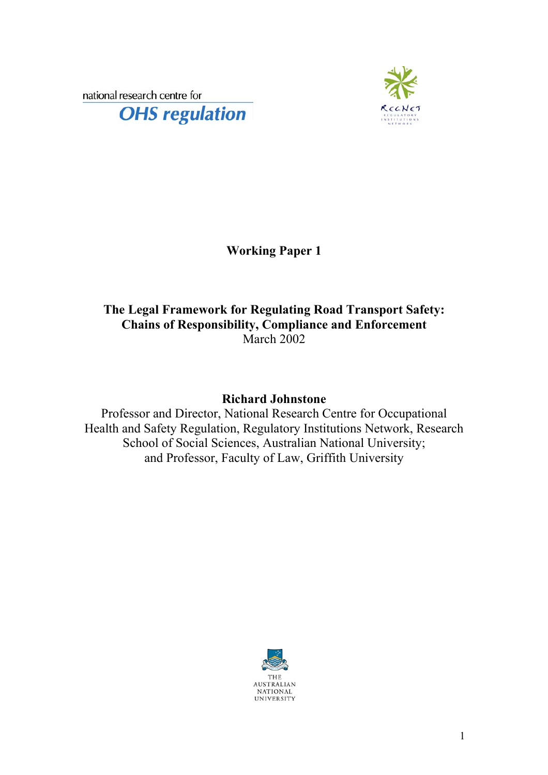national research centre for **OHS** regulation



**Working Paper 1** 

# **The Legal Framework for Regulating Road Transport Safety: Chains of Responsibility, Compliance and Enforcement**  March 2002

## **Richard Johnstone**

Professor and Director, National Research Centre for Occupational Health and Safety Regulation, Regulatory Institutions Network, Research School of Social Sciences, Australian National University; and Professor, Faculty of Law, Griffith University

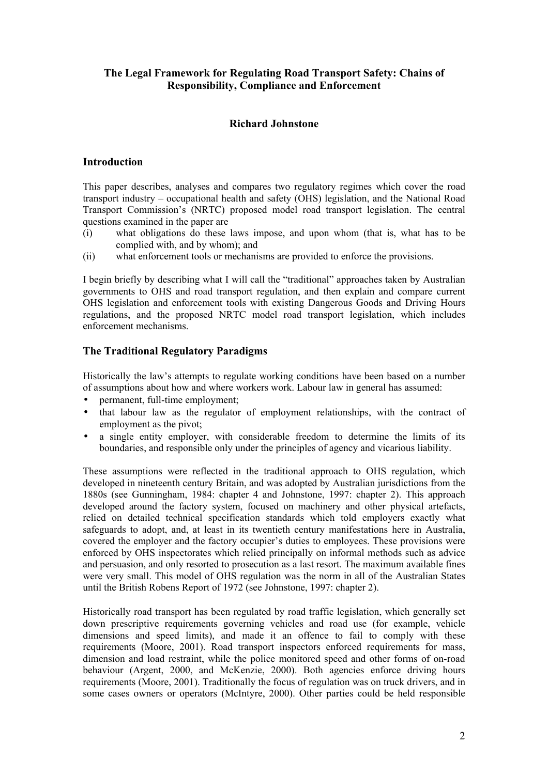## **The Legal Framework for Regulating Road Transport Safety: Chains of Responsibility, Compliance and Enforcement**

## **Richard Johnstone**

#### **Introduction**

This paper describes, analyses and compares two regulatory regimes which cover the road transport industry – occupational health and safety (OHS) legislation, and the National Road Transport Commission's (NRTC) proposed model road transport legislation. The central questions examined in the paper are

- (i) what obligations do these laws impose, and upon whom (that is, what has to be complied with, and by whom); and
- (ii) what enforcement tools or mechanisms are provided to enforce the provisions.

I begin briefly by describing what I will call the "traditional" approaches taken by Australian governments to OHS and road transport regulation, and then explain and compare current OHS legislation and enforcement tools with existing Dangerous Goods and Driving Hours regulations, and the proposed NRTC model road transport legislation, which includes enforcement mechanisms.

### **The Traditional Regulatory Paradigms**

Historically the law's attempts to regulate working conditions have been based on a number of assumptions about how and where workers work. Labour law in general has assumed:

- permanent, full-time employment:
- that labour law as the regulator of employment relationships, with the contract of employment as the pivot;
- a single entity employer, with considerable freedom to determine the limits of its boundaries, and responsible only under the principles of agency and vicarious liability.

These assumptions were reflected in the traditional approach to OHS regulation, which developed in nineteenth century Britain, and was adopted by Australian jurisdictions from the 1880s (see Gunningham, 1984: chapter 4 and Johnstone, 1997: chapter 2). This approach developed around the factory system, focused on machinery and other physical artefacts, relied on detailed technical specification standards which told employers exactly what safeguards to adopt, and, at least in its twentieth century manifestations here in Australia, covered the employer and the factory occupier's duties to employees. These provisions were enforced by OHS inspectorates which relied principally on informal methods such as advice and persuasion, and only resorted to prosecution as a last resort. The maximum available fines were very small. This model of OHS regulation was the norm in all of the Australian States until the British Robens Report of 1972 (see Johnstone, 1997: chapter 2).

Historically road transport has been regulated by road traffic legislation, which generally set down prescriptive requirements governing vehicles and road use (for example, vehicle dimensions and speed limits), and made it an offence to fail to comply with these requirements (Moore, 2001). Road transport inspectors enforced requirements for mass, dimension and load restraint, while the police monitored speed and other forms of on-road behaviour (Argent, 2000, and McKenzie, 2000). Both agencies enforce driving hours requirements (Moore, 2001). Traditionally the focus of regulation was on truck drivers, and in some cases owners or operators (McIntyre, 2000). Other parties could be held responsible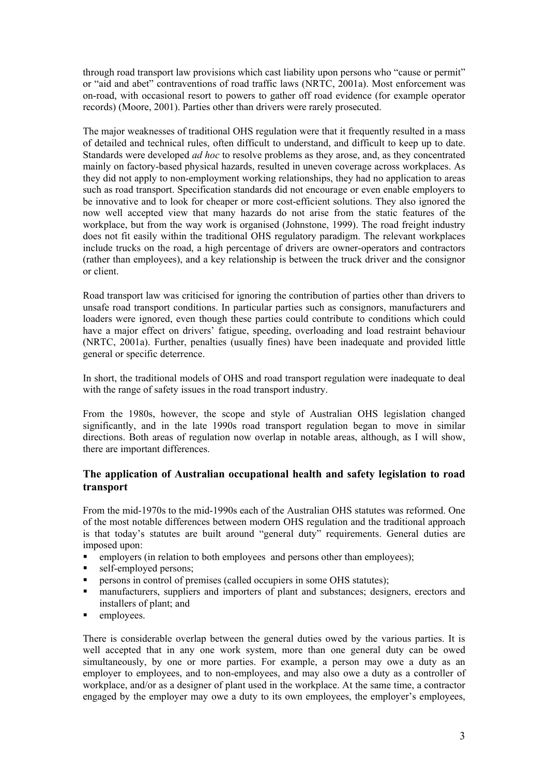through road transport law provisions which cast liability upon persons who "cause or permit" or "aid and abet" contraventions of road traffic laws (NRTC, 2001a). Most enforcement was on-road, with occasional resort to powers to gather off road evidence (for example operator records) (Moore, 2001). Parties other than drivers were rarely prosecuted.

The major weaknesses of traditional OHS regulation were that it frequently resulted in a mass of detailed and technical rules, often difficult to understand, and difficult to keep up to date. Standards were developed *ad hoc* to resolve problems as they arose, and, as they concentrated mainly on factory-based physical hazards, resulted in uneven coverage across workplaces. As they did not apply to non-employment working relationships, they had no application to areas such as road transport. Specification standards did not encourage or even enable employers to be innovative and to look for cheaper or more cost-efficient solutions. They also ignored the now well accepted view that many hazards do not arise from the static features of the workplace, but from the way work is organised (Johnstone, 1999). The road freight industry does not fit easily within the traditional OHS regulatory paradigm. The relevant workplaces include trucks on the road, a high percentage of drivers are owner-operators and contractors (rather than employees), and a key relationship is between the truck driver and the consignor or client.

Road transport law was criticised for ignoring the contribution of parties other than drivers to unsafe road transport conditions. In particular parties such as consignors, manufacturers and loaders were ignored, even though these parties could contribute to conditions which could have a major effect on drivers' fatigue, speeding, overloading and load restraint behaviour (NRTC, 2001a). Further, penalties (usually fines) have been inadequate and provided little general or specific deterrence.

In short, the traditional models of OHS and road transport regulation were inadequate to deal with the range of safety issues in the road transport industry.

From the 1980s, however, the scope and style of Australian OHS legislation changed significantly, and in the late 1990s road transport regulation began to move in similar directions. Both areas of regulation now overlap in notable areas, although, as I will show, there are important differences.

## **The application of Australian occupational health and safety legislation to road transport**

From the mid-1970s to the mid-1990s each of the Australian OHS statutes was reformed. One of the most notable differences between modern OHS regulation and the traditional approach is that today's statutes are built around "general duty" requirements. General duties are imposed upon:

- **EXECUTE:** employers (in relation to both employees and persons other than employees);
- self-employed persons;
- **Persons in control of premises (called occupiers in some OHS statutes);**
- manufacturers, suppliers and importers of plant and substances; designers, erectors and installers of plant; and
- **•** employees.

There is considerable overlap between the general duties owed by the various parties. It is well accepted that in any one work system, more than one general duty can be owed simultaneously, by one or more parties. For example, a person may owe a duty as an employer to employees, and to non-employees, and may also owe a duty as a controller of workplace, and/or as a designer of plant used in the workplace. At the same time, a contractor engaged by the employer may owe a duty to its own employees, the employer's employees,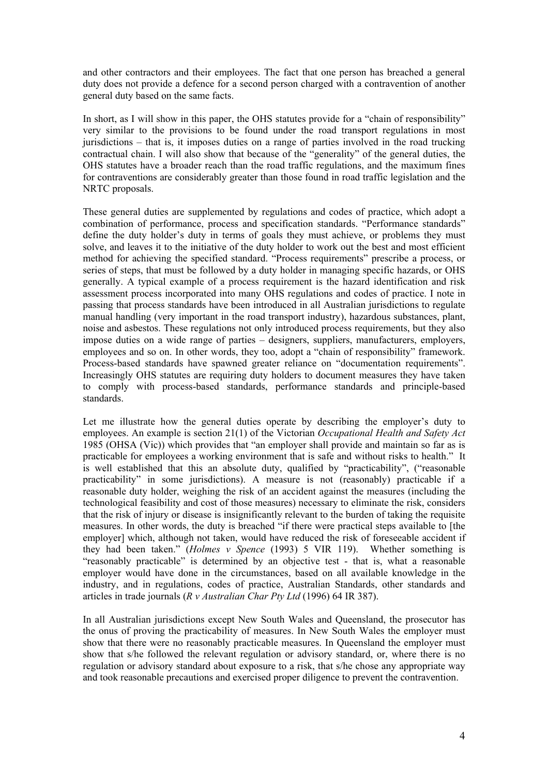and other contractors and their employees. The fact that one person has breached a general duty does not provide a defence for a second person charged with a contravention of another general duty based on the same facts.

In short, as I will show in this paper, the OHS statutes provide for a "chain of responsibility" very similar to the provisions to be found under the road transport regulations in most jurisdictions – that is, it imposes duties on a range of parties involved in the road trucking contractual chain. I will also show that because of the "generality" of the general duties, the OHS statutes have a broader reach than the road traffic regulations, and the maximum fines for contraventions are considerably greater than those found in road traffic legislation and the NRTC proposals.

These general duties are supplemented by regulations and codes of practice, which adopt a combination of performance, process and specification standards. "Performance standards" define the duty holder's duty in terms of goals they must achieve, or problems they must solve, and leaves it to the initiative of the duty holder to work out the best and most efficient method for achieving the specified standard. "Process requirements" prescribe a process, or series of steps, that must be followed by a duty holder in managing specific hazards, or OHS generally. A typical example of a process requirement is the hazard identification and risk assessment process incorporated into many OHS regulations and codes of practice. I note in passing that process standards have been introduced in all Australian jurisdictions to regulate manual handling (very important in the road transport industry), hazardous substances, plant, noise and asbestos. These regulations not only introduced process requirements, but they also impose duties on a wide range of parties – designers, suppliers, manufacturers, employers, employees and so on. In other words, they too, adopt a "chain of responsibility" framework. Process-based standards have spawned greater reliance on "documentation requirements". Increasingly OHS statutes are requiring duty holders to document measures they have taken to comply with process-based standards, performance standards and principle-based standards.

Let me illustrate how the general duties operate by describing the employer's duty to employees. An example is section 21(1) of the Victorian *Occupational Health and Safety Act* 1985 (OHSA (Vic)) which provides that "an employer shall provide and maintain so far as is practicable for employees a working environment that is safe and without risks to health." It is well established that this an absolute duty, qualified by "practicability", ("reasonable practicability" in some jurisdictions). A measure is not (reasonably) practicable if a reasonable duty holder, weighing the risk of an accident against the measures (including the technological feasibility and cost of those measures) necessary to eliminate the risk, considers that the risk of injury or disease is insignificantly relevant to the burden of taking the requisite measures. In other words, the duty is breached "if there were practical steps available to [the employer] which, although not taken, would have reduced the risk of foreseeable accident if they had been taken." (*Holmes v Spence* (1993) 5 VIR 119). Whether something is "reasonably practicable" is determined by an objective test - that is, what a reasonable employer would have done in the circumstances, based on all available knowledge in the industry, and in regulations, codes of practice, Australian Standards, other standards and articles in trade journals (*R v Australian Char Pty Ltd* (1996) 64 IR 387).

In all Australian jurisdictions except New South Wales and Queensland, the prosecutor has the onus of proving the practicability of measures. In New South Wales the employer must show that there were no reasonably practicable measures. In Queensland the employer must show that s/he followed the relevant regulation or advisory standard, or, where there is no regulation or advisory standard about exposure to a risk, that s/he chose any appropriate way and took reasonable precautions and exercised proper diligence to prevent the contravention.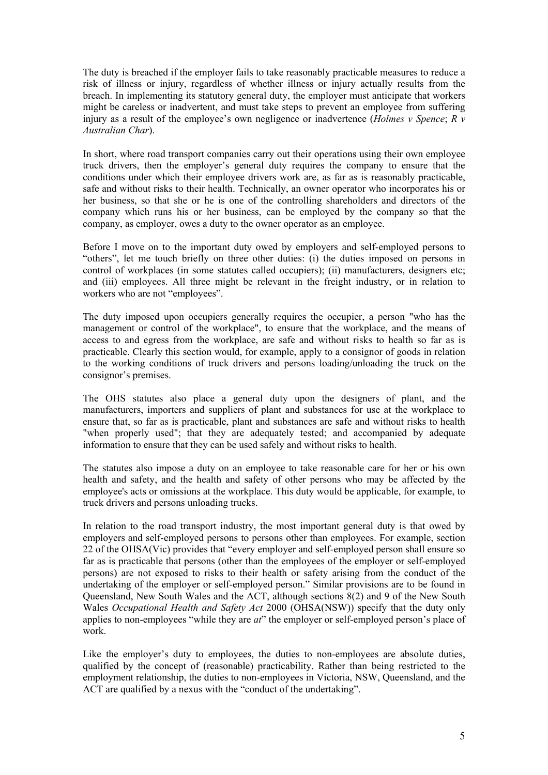The duty is breached if the employer fails to take reasonably practicable measures to reduce a risk of illness or injury, regardless of whether illness or injury actually results from the breach. In implementing its statutory general duty, the employer must anticipate that workers might be careless or inadvertent, and must take steps to prevent an employee from suffering injury as a result of the employee's own negligence or inadvertence (*Holmes v Spence*; *R v Australian Char*).

In short, where road transport companies carry out their operations using their own employee truck drivers, then the employer's general duty requires the company to ensure that the conditions under which their employee drivers work are, as far as is reasonably practicable, safe and without risks to their health. Technically, an owner operator who incorporates his or her business, so that she or he is one of the controlling shareholders and directors of the company which runs his or her business, can be employed by the company so that the company, as employer, owes a duty to the owner operator as an employee.

Before I move on to the important duty owed by employers and self-employed persons to "others", let me touch briefly on three other duties: (i) the duties imposed on persons in control of workplaces (in some statutes called occupiers); (ii) manufacturers, designers etc; and (iii) employees. All three might be relevant in the freight industry, or in relation to workers who are not "employees".

The duty imposed upon occupiers generally requires the occupier, a person "who has the management or control of the workplace", to ensure that the workplace, and the means of access to and egress from the workplace, are safe and without risks to health so far as is practicable. Clearly this section would, for example, apply to a consignor of goods in relation to the working conditions of truck drivers and persons loading/unloading the truck on the consignor's premises.

The OHS statutes also place a general duty upon the designers of plant, and the manufacturers, importers and suppliers of plant and substances for use at the workplace to ensure that, so far as is practicable, plant and substances are safe and without risks to health "when properly used"; that they are adequately tested; and accompanied by adequate information to ensure that they can be used safely and without risks to health.

The statutes also impose a duty on an employee to take reasonable care for her or his own health and safety, and the health and safety of other persons who may be affected by the employee's acts or omissions at the workplace. This duty would be applicable, for example, to truck drivers and persons unloading trucks.

In relation to the road transport industry, the most important general duty is that owed by employers and self-employed persons to persons other than employees. For example, section 22 of the OHSA(Vic) provides that "every employer and self-employed person shall ensure so far as is practicable that persons (other than the employees of the employer or self-employed persons) are not exposed to risks to their health or safety arising from the conduct of the undertaking of the employer or self-employed person." Similar provisions are to be found in Queensland, New South Wales and the ACT, although sections 8(2) and 9 of the New South Wales *Occupational Health and Safety Act* 2000 (OHSA(NSW)) specify that the duty only applies to non-employees "while they are *at*" the employer or self-employed person's place of work.

Like the employer's duty to employees, the duties to non-employees are absolute duties, qualified by the concept of (reasonable) practicability. Rather than being restricted to the employment relationship, the duties to non-employees in Victoria, NSW, Queensland, and the ACT are qualified by a nexus with the "conduct of the undertaking".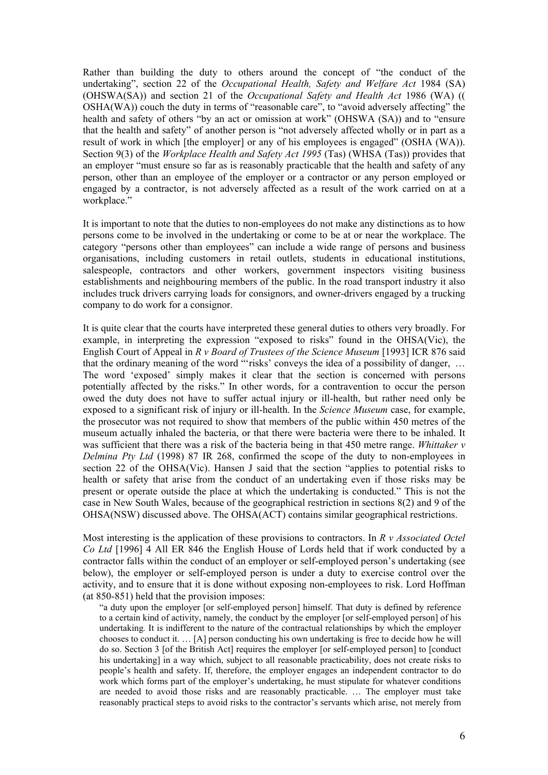Rather than building the duty to others around the concept of "the conduct of the undertaking", section 22 of the *Occupational Health, Safety and Welfare Act* 1984 (SA) (OHSWA(SA)) and section 21 of the *Occupational Safety and Health Act* 1986 (WA) (( OSHA(WA)) couch the duty in terms of "reasonable care", to "avoid adversely affecting" the health and safety of others "by an act or omission at work" (OHSWA (SA)) and to "ensure that the health and safety" of another person is "not adversely affected wholly or in part as a result of work in which [the employer] or any of his employees is engaged" (OSHA (WA)). Section 9(3) of the *Workplace Health and Safety Act 1995* (Tas) (WHSA (Tas)) provides that an employer "must ensure so far as is reasonably practicable that the health and safety of any person, other than an employee of the employer or a contractor or any person employed or engaged by a contractor, is not adversely affected as a result of the work carried on at a workplace."

It is important to note that the duties to non-employees do not make any distinctions as to how persons come to be involved in the undertaking or come to be at or near the workplace. The category "persons other than employees" can include a wide range of persons and business organisations, including customers in retail outlets, students in educational institutions, salespeople, contractors and other workers, government inspectors visiting business establishments and neighbouring members of the public. In the road transport industry it also includes truck drivers carrying loads for consignors, and owner-drivers engaged by a trucking company to do work for a consignor.

It is quite clear that the courts have interpreted these general duties to others very broadly. For example, in interpreting the expression "exposed to risks" found in the OHSA(Vic), the English Court of Appeal in *R v Board of Trustees of the Science Museum* [1993] ICR 876 said that the ordinary meaning of the word "'risks' conveys the idea of a possibility of danger, … The word 'exposed' simply makes it clear that the section is concerned with persons potentially affected by the risks." In other words, for a contravention to occur the person owed the duty does not have to suffer actual injury or ill-health, but rather need only be exposed to a significant risk of injury or ill-health. In the *Science Museum* case, for example, the prosecutor was not required to show that members of the public within 450 metres of the museum actually inhaled the bacteria, or that there were bacteria were there to be inhaled. It was sufficient that there was a risk of the bacteria being in that 450 metre range. *Whittaker v Delmina Pty Ltd* (1998) 87 IR 268, confirmed the scope of the duty to non-employees in section 22 of the OHSA(Vic). Hansen J said that the section "applies to potential risks to health or safety that arise from the conduct of an undertaking even if those risks may be present or operate outside the place at which the undertaking is conducted." This is not the case in New South Wales, because of the geographical restriction in sections 8(2) and 9 of the OHSA(NSW) discussed above. The OHSA(ACT) contains similar geographical restrictions.

Most interesting is the application of these provisions to contractors. In *R v Associated Octel Co Ltd* [1996] 4 All ER 846 the English House of Lords held that if work conducted by a contractor falls within the conduct of an employer or self-employed person's undertaking (see below), the employer or self-employed person is under a duty to exercise control over the activity, and to ensure that it is done without exposing non-employees to risk. Lord Hoffman (at 850-851) held that the provision imposes:

"a duty upon the employer [or self-employed person] himself. That duty is defined by reference to a certain kind of activity, namely, the conduct by the employer [or self-employed person] of his undertaking*.* It is indifferent to the nature of the contractual relationships by which the employer chooses to conduct it. … [A] person conducting his own undertaking is free to decide how he will do so. Section 3 [of the British Act] requires the employer [or self-employed person] to [conduct his undertaking] in a way which, subject to all reasonable practicability, does not create risks to people's health and safety. If, therefore, the employer engages an independent contractor to do work which forms part of the employer's undertaking, he must stipulate for whatever conditions are needed to avoid those risks and are reasonably practicable. … The employer must take reasonably practical steps to avoid risks to the contractor's servants which arise, not merely from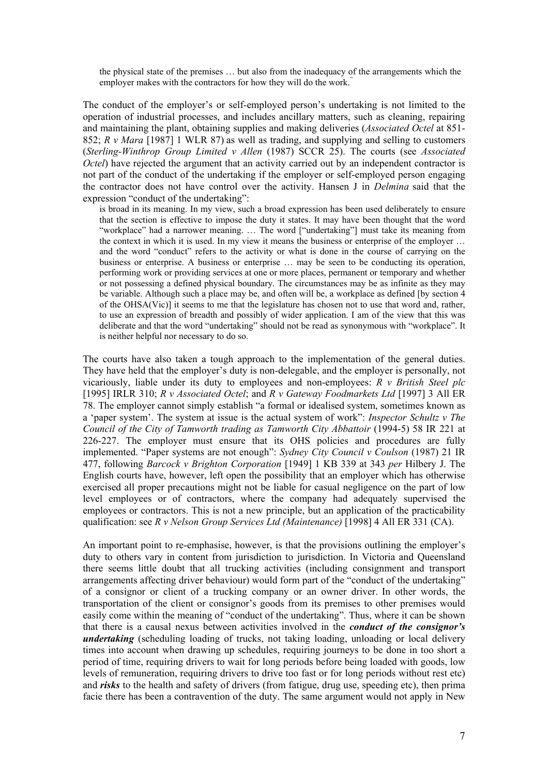the physical state of the premises … but also from the inadequacy of the arrangements which the employer makes with the contractors for how they will do the work."

The conduct of the employer's or self-employed person's undertaking is not limited to the operation of industrial processes, and includes ancillary matters, such as cleaning, repairing and maintaining the plant, obtaining supplies and making deliveries (*Associated Octel* at 851- 852; *R v Mara* [1987] 1 WLR 87) as well as trading, and supplying and selling to customers (*Sterling-Winthrop Group Limited v Allen* (1987) SCCR 25). The courts (see *Associated Octel*) have rejected the argument that an activity carried out by an independent contractor is not part of the conduct of the undertaking if the employer or self-employed person engaging the contractor does not have control over the activity. Hansen J in *Delmina* said that the expression "conduct of the undertaking":

is broad in its meaning. In my view, such a broad expression has been used deliberately to ensure that the section is effective to impose the duty it states. It may have been thought that the word "workplace" had a narrower meaning. … The word ["undertaking"] must take its meaning from the context in which it is used. In my view it means the business or enterprise of the employer … and the word "conduct" refers to the activity or what is done in the course of carrying on the business or enterprise. A business or enterprise … may be seen to be conducting its operation, performing work or providing services at one or more places, permanent or temporary and whether or not possessing a defined physical boundary. The circumstances may be as infinite as they may be variable. Although such a place may be, and often will be, a workplace as defined [by section 4 of the OHSA(Vic)] it seems to me that the legislature has chosen not to use that word and, rather, to use an expression of breadth and possibly of wider application. I am of the view that this was deliberate and that the word "undertaking" should not be read as synonymous with "workplace". It is neither helpful nor necessary to do so.

The courts have also taken a tough approach to the implementation of the general duties. They have held that the employer's duty is non-delegable, and the employer is personally, not vicariously, liable under its duty to employees and non-employees: *R v British Steel plc* [1995] IRLR 310; *R v Associated Octel*; and *R v Gateway Foodmarkets Ltd* [1997] 3 All ER 78. The employer cannot simply establish "a formal or idealised system, sometimes known as a 'paper system'. The system at issue is the actual system of work": *Inspector Schultz v The Council of the City of Tamworth trading as Tamworth City Abbattoir* (1994-5) 58 IR 221 at 226-227. The employer must ensure that its OHS policies and procedures are fully implemented. "Paper systems are not enough": *Sydney City Council v Coulson* (1987) 21 IR 477, following *Barcock v Brighton Corporation* [1949] 1 KB 339 at 343 *per* Hilbery J. The English courts have, however, left open the possibility that an employer which has otherwise exercised all proper precautions might not be liable for casual negligence on the part of low level employees or of contractors, where the company had adequately supervised the employees or contractors. This is not a new principle, but an application of the practicability qualification: see *R v Nelson Group Services Ltd (Maintenance)* [1998] 4 All ER 331 (CA).

An important point to re-emphasise, however, is that the provisions outlining the employer's duty to others vary in content from jurisdiction to jurisdiction. In Victoria and Queensland there seems little doubt that all trucking activities (including consignment and transport arrangements affecting driver behaviour) would form part of the "conduct of the undertaking" of a consignor or client of a trucking company or an owner driver. In other words, the transportation of the client or consignor's goods from its premises to other premises would easily come within the meaning of "conduct of the undertaking". Thus, where it can be shown that there is a causal nexus between activities involved in the *conduct of the consignor's undertaking* (scheduling loading of trucks, not taking loading, unloading or local delivery times into account when drawing up schedules, requiring journeys to be done in too short a period of time, requiring drivers to wait for long periods before being loaded with goods, low levels of remuneration, requiring drivers to drive too fast or for long periods without rest etc) and *risks* to the health and safety of drivers (from fatigue, drug use, speeding etc), then prima facie there has been a contravention of the duty. The same argument would not apply in New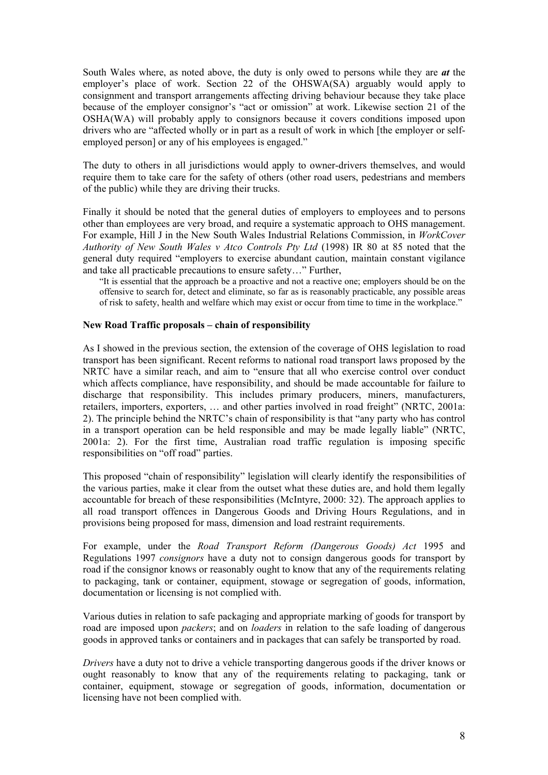South Wales where, as noted above, the duty is only owed to persons while they are *at* the employer's place of work. Section 22 of the OHSWA(SA) arguably would apply to consignment and transport arrangements affecting driving behaviour because they take place because of the employer consignor's "act or omission" at work. Likewise section 21 of the OSHA(WA) will probably apply to consignors because it covers conditions imposed upon drivers who are "affected wholly or in part as a result of work in which [the employer or selfemployed person] or any of his employees is engaged."

The duty to others in all jurisdictions would apply to owner-drivers themselves, and would require them to take care for the safety of others (other road users, pedestrians and members of the public) while they are driving their trucks.

Finally it should be noted that the general duties of employers to employees and to persons other than employees are very broad, and require a systematic approach to OHS management. For example, Hill J in the New South Wales Industrial Relations Commission, in *WorkCover Authority of New South Wales v Atco Controls Pty Ltd* (1998) IR 80 at 85 noted that the general duty required "employers to exercise abundant caution, maintain constant vigilance and take all practicable precautions to ensure safety…" Further,

"It is essential that the approach be a proactive and not a reactive one; employers should be on the offensive to search for, detect and eliminate, so far as is reasonably practicable, any possible areas of risk to safety, health and welfare which may exist or occur from time to time in the workplace."

#### **New Road Traffic proposals – chain of responsibility**

As I showed in the previous section, the extension of the coverage of OHS legislation to road transport has been significant. Recent reforms to national road transport laws proposed by the NRTC have a similar reach, and aim to "ensure that all who exercise control over conduct which affects compliance, have responsibility, and should be made accountable for failure to discharge that responsibility. This includes primary producers, miners, manufacturers, retailers, importers, exporters, … and other parties involved in road freight" (NRTC, 2001a: 2). The principle behind the NRTC's chain of responsibility is that "any party who has control in a transport operation can be held responsible and may be made legally liable" (NRTC, 2001a: 2). For the first time, Australian road traffic regulation is imposing specific responsibilities on "off road" parties.

This proposed "chain of responsibility" legislation will clearly identify the responsibilities of the various parties, make it clear from the outset what these duties are, and hold them legally accountable for breach of these responsibilities (McIntyre, 2000: 32). The approach applies to all road transport offences in Dangerous Goods and Driving Hours Regulations, and in provisions being proposed for mass, dimension and load restraint requirements.

For example, under the *Road Transport Reform (Dangerous Goods) Act* 1995 and Regulations 1997 *consignors* have a duty not to consign dangerous goods for transport by road if the consignor knows or reasonably ought to know that any of the requirements relating to packaging, tank or container, equipment, stowage or segregation of goods, information, documentation or licensing is not complied with.

Various duties in relation to safe packaging and appropriate marking of goods for transport by road are imposed upon *packers*; and on *loaders* in relation to the safe loading of dangerous goods in approved tanks or containers and in packages that can safely be transported by road.

*Drivers* have a duty not to drive a vehicle transporting dangerous goods if the driver knows or ought reasonably to know that any of the requirements relating to packaging, tank or container, equipment, stowage or segregation of goods, information, documentation or licensing have not been complied with.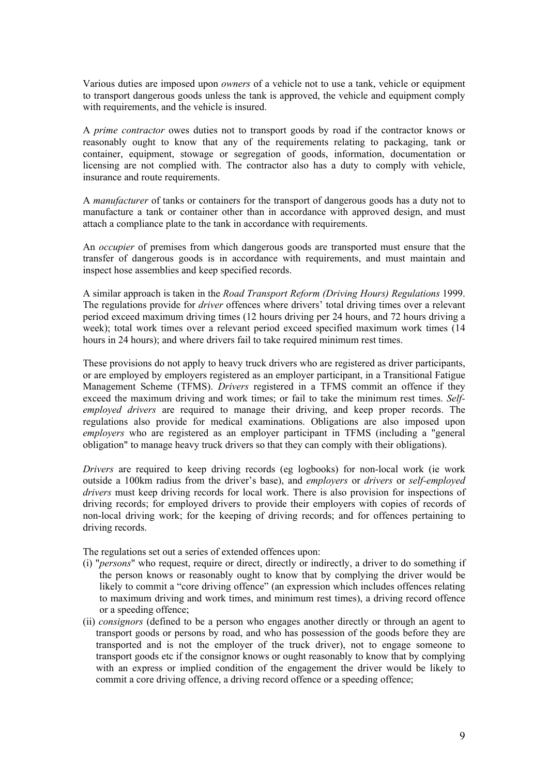Various duties are imposed upon *owners* of a vehicle not to use a tank, vehicle or equipment to transport dangerous goods unless the tank is approved, the vehicle and equipment comply with requirements, and the vehicle is insured.

A *prime contractor* owes duties not to transport goods by road if the contractor knows or reasonably ought to know that any of the requirements relating to packaging, tank or container, equipment, stowage or segregation of goods, information, documentation or licensing are not complied with. The contractor also has a duty to comply with vehicle, insurance and route requirements.

A *manufacturer* of tanks or containers for the transport of dangerous goods has a duty not to manufacture a tank or container other than in accordance with approved design, and must attach a compliance plate to the tank in accordance with requirements.

An *occupier* of premises from which dangerous goods are transported must ensure that the transfer of dangerous goods is in accordance with requirements, and must maintain and inspect hose assemblies and keep specified records.

A similar approach is taken in the *Road Transport Reform (Driving Hours) Regulations* 1999. The regulations provide for *driver* offences where drivers' total driving times over a relevant period exceed maximum driving times (12 hours driving per 24 hours, and 72 hours driving a week); total work times over a relevant period exceed specified maximum work times (14 hours in 24 hours); and where drivers fail to take required minimum rest times.

These provisions do not apply to heavy truck drivers who are registered as driver participants, or are employed by employers registered as an employer participant, in a Transitional Fatigue Management Scheme (TFMS). *Drivers* registered in a TFMS commit an offence if they exceed the maximum driving and work times; or fail to take the minimum rest times. *Selfemployed drivers* are required to manage their driving, and keep proper records. The regulations also provide for medical examinations. Obligations are also imposed upon *employers* who are registered as an employer participant in TFMS (including a "general obligation" to manage heavy truck drivers so that they can comply with their obligations).

*Drivers* are required to keep driving records (eg logbooks) for non-local work (ie work outside a 100km radius from the driver's base), and *employers* or *drivers* or *self-employed drivers* must keep driving records for local work. There is also provision for inspections of driving records; for employed drivers to provide their employers with copies of records of non-local driving work; for the keeping of driving records; and for offences pertaining to driving records.

The regulations set out a series of extended offences upon:

- (i) "*persons*" who request, require or direct, directly or indirectly, a driver to do something if the person knows or reasonably ought to know that by complying the driver would be likely to commit a "core driving offence" (an expression which includes offences relating to maximum driving and work times, and minimum rest times), a driving record offence or a speeding offence;
- (ii) *consignors* (defined to be a person who engages another directly or through an agent to transport goods or persons by road, and who has possession of the goods before they are transported and is not the employer of the truck driver), not to engage someone to transport goods etc if the consignor knows or ought reasonably to know that by complying with an express or implied condition of the engagement the driver would be likely to commit a core driving offence, a driving record offence or a speeding offence;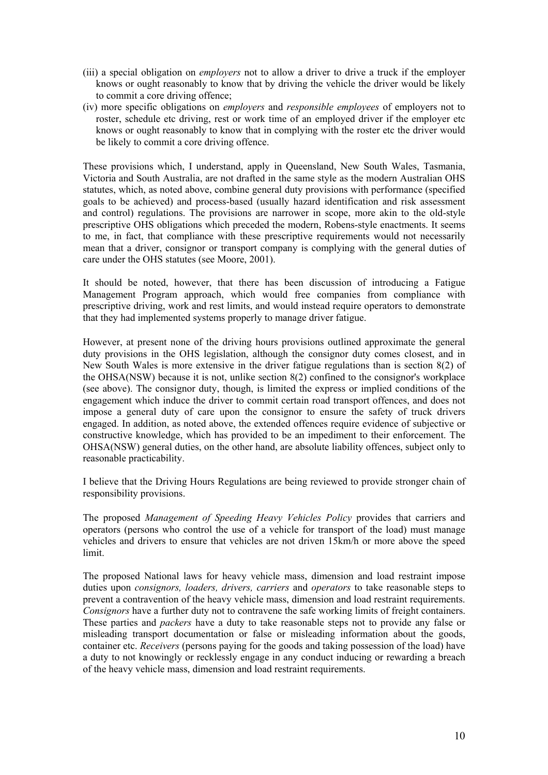- (iii) a special obligation on *employers* not to allow a driver to drive a truck if the employer knows or ought reasonably to know that by driving the vehicle the driver would be likely to commit a core driving offence;
- (iv) more specific obligations on *employers* and *responsible employees* of employers not to roster, schedule etc driving, rest or work time of an employed driver if the employer etc knows or ought reasonably to know that in complying with the roster etc the driver would be likely to commit a core driving offence.

These provisions which, I understand, apply in Queensland, New South Wales, Tasmania, Victoria and South Australia, are not drafted in the same style as the modern Australian OHS statutes, which, as noted above, combine general duty provisions with performance (specified goals to be achieved) and process-based (usually hazard identification and risk assessment and control) regulations. The provisions are narrower in scope, more akin to the old-style prescriptive OHS obligations which preceded the modern, Robens-style enactments. It seems to me, in fact, that compliance with these prescriptive requirements would not necessarily mean that a driver, consignor or transport company is complying with the general duties of care under the OHS statutes (see Moore, 2001).

It should be noted, however, that there has been discussion of introducing a Fatigue Management Program approach, which would free companies from compliance with prescriptive driving, work and rest limits, and would instead require operators to demonstrate that they had implemented systems properly to manage driver fatigue.

However, at present none of the driving hours provisions outlined approximate the general duty provisions in the OHS legislation, although the consignor duty comes closest, and in New South Wales is more extensive in the driver fatigue regulations than is section 8(2) of the OHSA(NSW) because it is not, unlike section 8(2) confined to the consignor's workplace (see above). The consignor duty, though, is limited the express or implied conditions of the engagement which induce the driver to commit certain road transport offences, and does not impose a general duty of care upon the consignor to ensure the safety of truck drivers engaged. In addition, as noted above, the extended offences require evidence of subjective or constructive knowledge, which has provided to be an impediment to their enforcement. The OHSA(NSW) general duties, on the other hand, are absolute liability offences, subject only to reasonable practicability.

I believe that the Driving Hours Regulations are being reviewed to provide stronger chain of responsibility provisions.

The proposed *Management of Speeding Heavy Vehicles Policy* provides that carriers and operators (persons who control the use of a vehicle for transport of the load) must manage vehicles and drivers to ensure that vehicles are not driven 15km/h or more above the speed limit.

The proposed National laws for heavy vehicle mass, dimension and load restraint impose duties upon *consignors, loaders, drivers, carriers* and *operators* to take reasonable steps to prevent a contravention of the heavy vehicle mass, dimension and load restraint requirements. *Consignors* have a further duty not to contravene the safe working limits of freight containers. These parties and *packers* have a duty to take reasonable steps not to provide any false or misleading transport documentation or false or misleading information about the goods, container etc. *Receivers* (persons paying for the goods and taking possession of the load) have a duty to not knowingly or recklessly engage in any conduct inducing or rewarding a breach of the heavy vehicle mass, dimension and load restraint requirements.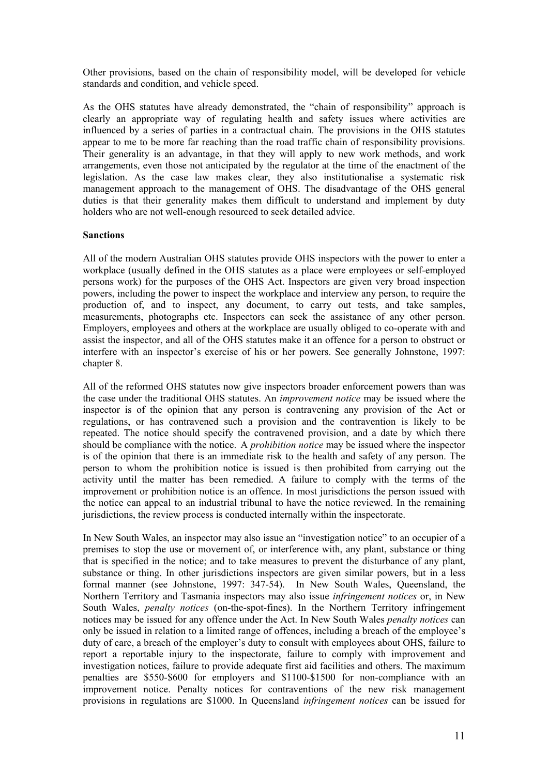Other provisions, based on the chain of responsibility model, will be developed for vehicle standards and condition, and vehicle speed.

As the OHS statutes have already demonstrated, the "chain of responsibility" approach is clearly an appropriate way of regulating health and safety issues where activities are influenced by a series of parties in a contractual chain. The provisions in the OHS statutes appear to me to be more far reaching than the road traffic chain of responsibility provisions. Their generality is an advantage, in that they will apply to new work methods, and work arrangements, even those not anticipated by the regulator at the time of the enactment of the legislation. As the case law makes clear, they also institutionalise a systematic risk management approach to the management of OHS. The disadvantage of the OHS general duties is that their generality makes them difficult to understand and implement by duty holders who are not well-enough resourced to seek detailed advice.

#### **Sanctions**

All of the modern Australian OHS statutes provide OHS inspectors with the power to enter a workplace (usually defined in the OHS statutes as a place were employees or self-employed persons work) for the purposes of the OHS Act. Inspectors are given very broad inspection powers, including the power to inspect the workplace and interview any person, to require the production of, and to inspect, any document, to carry out tests, and take samples, measurements, photographs etc. Inspectors can seek the assistance of any other person. Employers, employees and others at the workplace are usually obliged to co-operate with and assist the inspector, and all of the OHS statutes make it an offence for a person to obstruct or interfere with an inspector's exercise of his or her powers. See generally Johnstone, 1997: chapter 8.

All of the reformed OHS statutes now give inspectors broader enforcement powers than was the case under the traditional OHS statutes. An *improvement notice* may be issued where the inspector is of the opinion that any person is contravening any provision of the Act or regulations, or has contravened such a provision and the contravention is likely to be repeated. The notice should specify the contravened provision, and a date by which there should be compliance with the notice. A *prohibition notice* may be issued where the inspector is of the opinion that there is an immediate risk to the health and safety of any person. The person to whom the prohibition notice is issued is then prohibited from carrying out the activity until the matter has been remedied. A failure to comply with the terms of the improvement or prohibition notice is an offence. In most jurisdictions the person issued with the notice can appeal to an industrial tribunal to have the notice reviewed. In the remaining jurisdictions, the review process is conducted internally within the inspectorate.

In New South Wales, an inspector may also issue an "investigation notice" to an occupier of a premises to stop the use or movement of, or interference with, any plant, substance or thing that is specified in the notice; and to take measures to prevent the disturbance of any plant, substance or thing. In other jurisdictions inspectors are given similar powers, but in a less formal manner (see Johnstone, 1997: 347-54). In New South Wales, Queensland, the Northern Territory and Tasmania inspectors may also issue *infringement notices* or, in New South Wales, *penalty notices* (on-the-spot-fines). In the Northern Territory infringement notices may be issued for any offence under the Act. In New South Wales *penalty notices* can only be issued in relation to a limited range of offences, including a breach of the employee's duty of care, a breach of the employer's duty to consult with employees about OHS, failure to report a reportable injury to the inspectorate, failure to comply with improvement and investigation notices, failure to provide adequate first aid facilities and others. The maximum penalties are \$550-\$600 for employers and \$1100-\$1500 for non-compliance with an improvement notice. Penalty notices for contraventions of the new risk management provisions in regulations are \$1000. In Queensland *infringement notices* can be issued for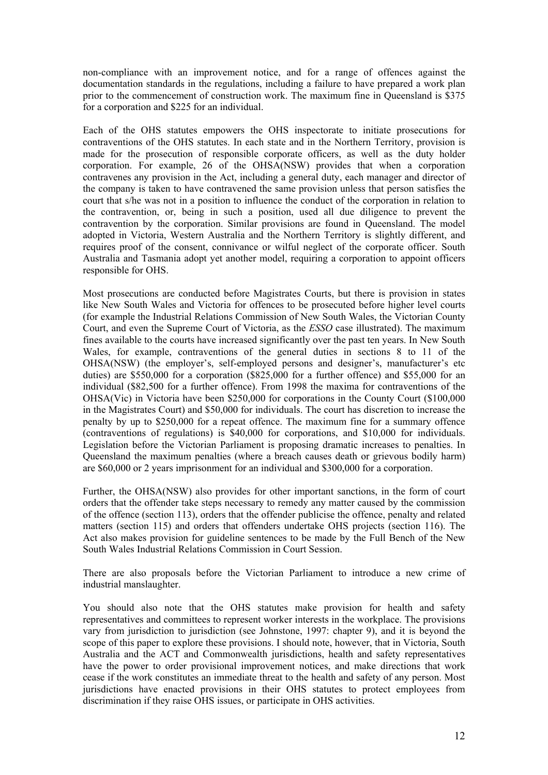non-compliance with an improvement notice, and for a range of offences against the documentation standards in the regulations, including a failure to have prepared a work plan prior to the commencement of construction work. The maximum fine in Queensland is \$375 for a corporation and \$225 for an individual.

Each of the OHS statutes empowers the OHS inspectorate to initiate prosecutions for contraventions of the OHS statutes. In each state and in the Northern Territory, provision is made for the prosecution of responsible corporate officers, as well as the duty holder corporation. For example, 26 of the OHSA(NSW) provides that when a corporation contravenes any provision in the Act, including a general duty, each manager and director of the company is taken to have contravened the same provision unless that person satisfies the court that s/he was not in a position to influence the conduct of the corporation in relation to the contravention, or, being in such a position, used all due diligence to prevent the contravention by the corporation. Similar provisions are found in Queensland. The model adopted in Victoria, Western Australia and the Northern Territory is slightly different, and requires proof of the consent, connivance or wilful neglect of the corporate officer. South Australia and Tasmania adopt yet another model, requiring a corporation to appoint officers responsible for OHS.

Most prosecutions are conducted before Magistrates Courts, but there is provision in states like New South Wales and Victoria for offences to be prosecuted before higher level courts (for example the Industrial Relations Commission of New South Wales, the Victorian County Court, and even the Supreme Court of Victoria, as the *ESSO* case illustrated). The maximum fines available to the courts have increased significantly over the past ten years. In New South Wales, for example, contraventions of the general duties in sections 8 to 11 of the OHSA(NSW) (the employer's, self-employed persons and designer's, manufacturer's etc duties) are \$550,000 for a corporation (\$825,000 for a further offence) and \$55,000 for an individual (\$82,500 for a further offence). From 1998 the maxima for contraventions of the OHSA(Vic) in Victoria have been \$250,000 for corporations in the County Court (\$100,000 in the Magistrates Court) and \$50,000 for individuals. The court has discretion to increase the penalty by up to \$250,000 for a repeat offence. The maximum fine for a summary offence (contraventions of regulations) is \$40,000 for corporations, and \$10,000 for individuals. Legislation before the Victorian Parliament is proposing dramatic increases to penalties. In Queensland the maximum penalties (where a breach causes death or grievous bodily harm) are \$60,000 or 2 years imprisonment for an individual and \$300,000 for a corporation.

Further, the OHSA(NSW) also provides for other important sanctions, in the form of court orders that the offender take steps necessary to remedy any matter caused by the commission of the offence (section 113), orders that the offender publicise the offence, penalty and related matters (section 115) and orders that offenders undertake OHS projects (section 116). The Act also makes provision for guideline sentences to be made by the Full Bench of the New South Wales Industrial Relations Commission in Court Session.

There are also proposals before the Victorian Parliament to introduce a new crime of industrial manslaughter.

You should also note that the OHS statutes make provision for health and safety representatives and committees to represent worker interests in the workplace. The provisions vary from jurisdiction to jurisdiction (see Johnstone, 1997: chapter 9), and it is beyond the scope of this paper to explore these provisions. I should note, however, that in Victoria, South Australia and the ACT and Commonwealth jurisdictions, health and safety representatives have the power to order provisional improvement notices, and make directions that work cease if the work constitutes an immediate threat to the health and safety of any person. Most jurisdictions have enacted provisions in their OHS statutes to protect employees from discrimination if they raise OHS issues, or participate in OHS activities.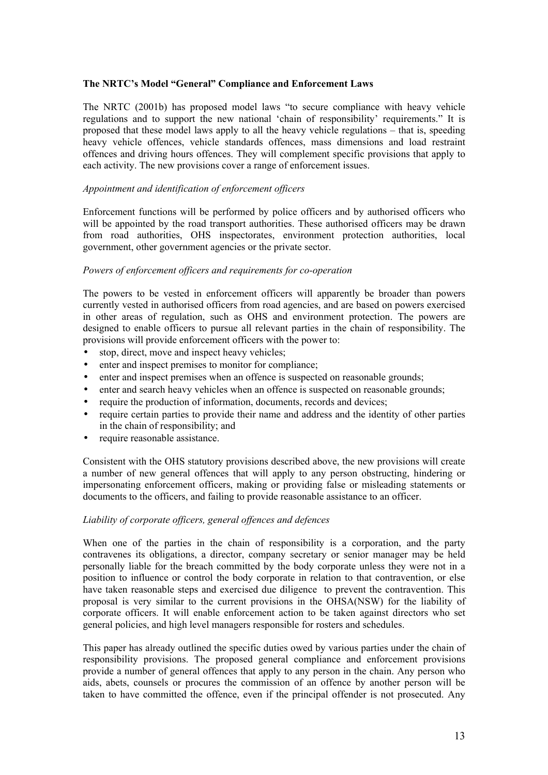#### **The NRTC's Model "General" Compliance and Enforcement Laws**

The NRTC (2001b) has proposed model laws "to secure compliance with heavy vehicle regulations and to support the new national 'chain of responsibility' requirements." It is proposed that these model laws apply to all the heavy vehicle regulations – that is, speeding heavy vehicle offences, vehicle standards offences, mass dimensions and load restraint offences and driving hours offences. They will complement specific provisions that apply to each activity. The new provisions cover a range of enforcement issues.

#### *Appointment and identification of enforcement officers*

Enforcement functions will be performed by police officers and by authorised officers who will be appointed by the road transport authorities. These authorised officers may be drawn from road authorities, OHS inspectorates, environment protection authorities, local government, other government agencies or the private sector.

#### *Powers of enforcement officers and requirements for co-operation*

The powers to be vested in enforcement officers will apparently be broader than powers currently vested in authorised officers from road agencies, and are based on powers exercised in other areas of regulation, such as OHS and environment protection. The powers are designed to enable officers to pursue all relevant parties in the chain of responsibility. The provisions will provide enforcement officers with the power to:

- stop, direct, move and inspect heavy vehicles;
- enter and inspect premises to monitor for compliance;
- enter and inspect premises when an offence is suspected on reasonable grounds;
- enter and search heavy vehicles when an offence is suspected on reasonable grounds;
- require the production of information, documents, records and devices;
- require certain parties to provide their name and address and the identity of other parties in the chain of responsibility; and
- require reasonable assistance.

Consistent with the OHS statutory provisions described above, the new provisions will create a number of new general offences that will apply to any person obstructing, hindering or impersonating enforcement officers, making or providing false or misleading statements or documents to the officers, and failing to provide reasonable assistance to an officer.

#### *Liability of corporate officers, general offences and defences*

When one of the parties in the chain of responsibility is a corporation, and the party contravenes its obligations, a director, company secretary or senior manager may be held personally liable for the breach committed by the body corporate unless they were not in a position to influence or control the body corporate in relation to that contravention, or else have taken reasonable steps and exercised due diligence to prevent the contravention. This proposal is very similar to the current provisions in the OHSA(NSW) for the liability of corporate officers. It will enable enforcement action to be taken against directors who set general policies, and high level managers responsible for rosters and schedules.

This paper has already outlined the specific duties owed by various parties under the chain of responsibility provisions. The proposed general compliance and enforcement provisions provide a number of general offences that apply to any person in the chain. Any person who aids, abets, counsels or procures the commission of an offence by another person will be taken to have committed the offence, even if the principal offender is not prosecuted. Any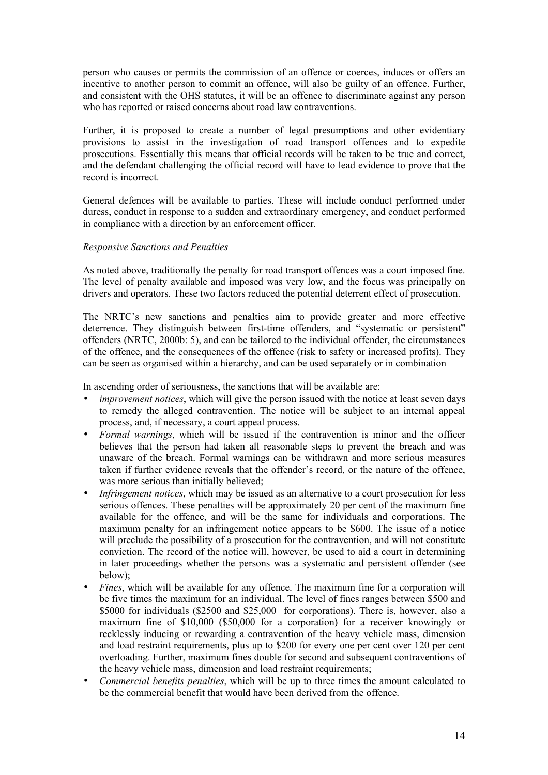person who causes or permits the commission of an offence or coerces, induces or offers an incentive to another person to commit an offence, will also be guilty of an offence. Further, and consistent with the OHS statutes, it will be an offence to discriminate against any person who has reported or raised concerns about road law contraventions.

Further, it is proposed to create a number of legal presumptions and other evidentiary provisions to assist in the investigation of road transport offences and to expedite prosecutions. Essentially this means that official records will be taken to be true and correct, and the defendant challenging the official record will have to lead evidence to prove that the record is incorrect.

General defences will be available to parties. These will include conduct performed under duress, conduct in response to a sudden and extraordinary emergency, and conduct performed in compliance with a direction by an enforcement officer.

#### *Responsive Sanctions and Penalties*

As noted above, traditionally the penalty for road transport offences was a court imposed fine. The level of penalty available and imposed was very low, and the focus was principally on drivers and operators. These two factors reduced the potential deterrent effect of prosecution.

The NRTC's new sanctions and penalties aim to provide greater and more effective deterrence. They distinguish between first-time offenders, and "systematic or persistent" offenders (NRTC, 2000b: 5), and can be tailored to the individual offender, the circumstances of the offence, and the consequences of the offence (risk to safety or increased profits). They can be seen as organised within a hierarchy, and can be used separately or in combination

In ascending order of seriousness, the sanctions that will be available are:

- *improvement notices*, which will give the person issued with the notice at least seven days to remedy the alleged contravention. The notice will be subject to an internal appeal process, and, if necessary, a court appeal process.
- *Formal warnings*, which will be issued if the contravention is minor and the officer believes that the person had taken all reasonable steps to prevent the breach and was unaware of the breach. Formal warnings can be withdrawn and more serious measures taken if further evidence reveals that the offender's record, or the nature of the offence, was more serious than initially believed:
- *Infringement notices*, which may be issued as an alternative to a court prosecution for less serious offences. These penalties will be approximately 20 per cent of the maximum fine available for the offence, and will be the same for individuals and corporations. The maximum penalty for an infringement notice appears to be \$600. The issue of a notice will preclude the possibility of a prosecution for the contravention, and will not constitute conviction. The record of the notice will, however, be used to aid a court in determining in later proceedings whether the persons was a systematic and persistent offender (see below);
- *Fines*, which will be available for any offence. The maximum fine for a corporation will be five times the maximum for an individual. The level of fines ranges between \$500 and \$5000 for individuals (\$2500 and \$25,000 for corporations). There is, however, also a maximum fine of \$10,000 (\$50,000 for a corporation) for a receiver knowingly or recklessly inducing or rewarding a contravention of the heavy vehicle mass, dimension and load restraint requirements, plus up to \$200 for every one per cent over 120 per cent overloading. Further, maximum fines double for second and subsequent contraventions of the heavy vehicle mass, dimension and load restraint requirements;
- *Commercial benefits penalties*, which will be up to three times the amount calculated to be the commercial benefit that would have been derived from the offence.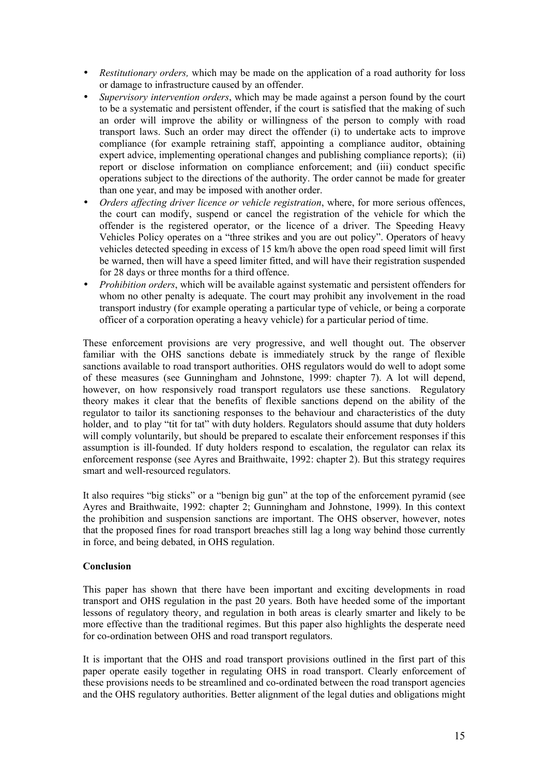- *Restitutionary orders,* which may be made on the application of a road authority for loss or damage to infrastructure caused by an offender.
- *Supervisory intervention orders*, which may be made against a person found by the court to be a systematic and persistent offender, if the court is satisfied that the making of such an order will improve the ability or willingness of the person to comply with road transport laws. Such an order may direct the offender (i) to undertake acts to improve compliance (for example retraining staff, appointing a compliance auditor, obtaining expert advice, implementing operational changes and publishing compliance reports); (ii) report or disclose information on compliance enforcement; and (iii) conduct specific operations subject to the directions of the authority. The order cannot be made for greater than one year, and may be imposed with another order.
- *Orders affecting driver licence or vehicle registration*, where, for more serious offences, the court can modify, suspend or cancel the registration of the vehicle for which the offender is the registered operator, or the licence of a driver. The Speeding Heavy Vehicles Policy operates on a "three strikes and you are out policy". Operators of heavy vehicles detected speeding in excess of 15 km/h above the open road speed limit will first be warned, then will have a speed limiter fitted, and will have their registration suspended for 28 days or three months for a third offence.
- *Prohibition orders*, which will be available against systematic and persistent offenders for whom no other penalty is adequate. The court may prohibit any involvement in the road transport industry (for example operating a particular type of vehicle, or being a corporate officer of a corporation operating a heavy vehicle) for a particular period of time.

These enforcement provisions are very progressive, and well thought out. The observer familiar with the OHS sanctions debate is immediately struck by the range of flexible sanctions available to road transport authorities. OHS regulators would do well to adopt some of these measures (see Gunningham and Johnstone, 1999: chapter 7). A lot will depend, however, on how responsively road transport regulators use these sanctions. Regulatory theory makes it clear that the benefits of flexible sanctions depend on the ability of the regulator to tailor its sanctioning responses to the behaviour and characteristics of the duty holder, and to play "tit for tat" with duty holders. Regulators should assume that duty holders will comply voluntarily, but should be prepared to escalate their enforcement responses if this assumption is ill-founded. If duty holders respond to escalation, the regulator can relax its enforcement response (see Ayres and Braithwaite, 1992: chapter 2). But this strategy requires smart and well-resourced regulators.

It also requires "big sticks" or a "benign big gun" at the top of the enforcement pyramid (see Ayres and Braithwaite, 1992: chapter 2; Gunningham and Johnstone, 1999). In this context the prohibition and suspension sanctions are important. The OHS observer, however, notes that the proposed fines for road transport breaches still lag a long way behind those currently in force, and being debated, in OHS regulation.

#### **Conclusion**

This paper has shown that there have been important and exciting developments in road transport and OHS regulation in the past 20 years. Both have heeded some of the important lessons of regulatory theory, and regulation in both areas is clearly smarter and likely to be more effective than the traditional regimes. But this paper also highlights the desperate need for co-ordination between OHS and road transport regulators.

It is important that the OHS and road transport provisions outlined in the first part of this paper operate easily together in regulating OHS in road transport. Clearly enforcement of these provisions needs to be streamlined and co-ordinated between the road transport agencies and the OHS regulatory authorities. Better alignment of the legal duties and obligations might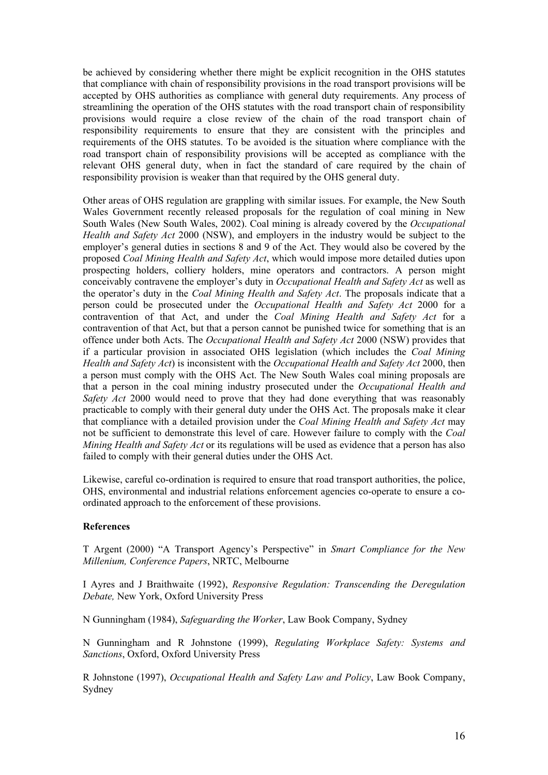be achieved by considering whether there might be explicit recognition in the OHS statutes that compliance with chain of responsibility provisions in the road transport provisions will be accepted by OHS authorities as compliance with general duty requirements. Any process of streamlining the operation of the OHS statutes with the road transport chain of responsibility provisions would require a close review of the chain of the road transport chain of responsibility requirements to ensure that they are consistent with the principles and requirements of the OHS statutes. To be avoided is the situation where compliance with the road transport chain of responsibility provisions will be accepted as compliance with the relevant OHS general duty, when in fact the standard of care required by the chain of responsibility provision is weaker than that required by the OHS general duty.

Other areas of OHS regulation are grappling with similar issues. For example, the New South Wales Government recently released proposals for the regulation of coal mining in New South Wales (New South Wales, 2002). Coal mining is already covered by the *Occupational Health and Safety Act* 2000 (NSW), and employers in the industry would be subject to the employer's general duties in sections 8 and 9 of the Act. They would also be covered by the proposed *Coal Mining Health and Safety Act*, which would impose more detailed duties upon prospecting holders, colliery holders, mine operators and contractors. A person might conceivably contravene the employer's duty in *Occupational Health and Safety Act* as well as the operator's duty in the *Coal Mining Health and Safety Act*. The proposals indicate that a person could be prosecuted under the *Occupational Health and Safety Act* 2000 for a contravention of that Act, and under the *Coal Mining Health and Safety Act* for a contravention of that Act, but that a person cannot be punished twice for something that is an offence under both Acts. The *Occupational Health and Safety Act* 2000 (NSW) provides that if a particular provision in associated OHS legislation (which includes the *Coal Mining Health and Safety Act*) is inconsistent with the *Occupational Health and Safety Act* 2000, then a person must comply with the OHS Act. The New South Wales coal mining proposals are that a person in the coal mining industry prosecuted under the *Occupational Health and Safety Act* 2000 would need to prove that they had done everything that was reasonably practicable to comply with their general duty under the OHS Act. The proposals make it clear that compliance with a detailed provision under the *Coal Mining Health and Safety Act* may not be sufficient to demonstrate this level of care. However failure to comply with the *Coal Mining Health and Safety Act* or its regulations will be used as evidence that a person has also failed to comply with their general duties under the OHS Act.

Likewise, careful co-ordination is required to ensure that road transport authorities, the police, OHS, environmental and industrial relations enforcement agencies co-operate to ensure a coordinated approach to the enforcement of these provisions.

#### **References**

T Argent (2000) "A Transport Agency's Perspective" in *Smart Compliance for the New Millenium, Conference Papers*, NRTC, Melbourne

I Ayres and J Braithwaite (1992), *Responsive Regulation: Transcending the Deregulation Debate,* New York, Oxford University Press

N Gunningham (1984), *Safeguarding the Worker*, Law Book Company, Sydney

N Gunningham and R Johnstone (1999), *Regulating Workplace Safety: Systems and Sanctions*, Oxford, Oxford University Press

R Johnstone (1997), *Occupational Health and Safety Law and Policy*, Law Book Company, Sydney